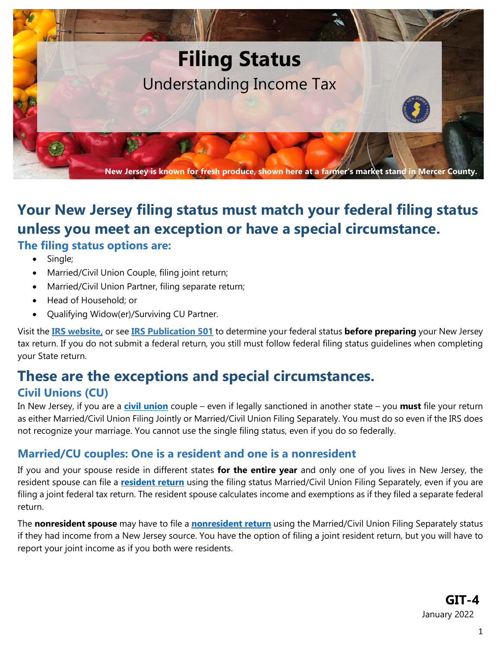

# **Your New Jersey filing status must match your federal filing status unless you meet an exception or have a special circumstance. The filing status options are:**

- Single;
- Married/Civil Union Couple, filing joint return;
- Married/Civil Union Partner, filing separate return;
- Head of Household; or
- Qualifying Widow(er)/Surviving CU Partner.

Visit the **[IRS website,](https://www.irs.gov/help/ita/what-is-my-filing-status)** or see **[IRS Publication 501](https://www.irs.gov/publications/p501)** to determine your federal status **before preparing** your New Jersey tax return. If you do not submit a federal return, you still must follow federal filing status guidelines when completing your State return.

# **These are the exceptions and special circumstances.**

## **Civil Unions (CU)**

In New Jersey, if you are a **[civil union](https://www.state.nj.us/treasury/taxation/civilunionact.shtml)** couple – even if legally sanctioned in another state – you **must** file your return as either Married/Civil Union Filing Jointly or Married/Civil Union Filing Separately. You must do so even if the IRS does not recognize your marriage. You cannot use the single filing status, even if you do so federally.

## **Married/CU couples: One is a resident and one is a nonresident**

If you and your spouse reside in different states **for the entire year** and only one of you lives in New Jersey, the resident spouse can file a **[resident return](https://www.state.nj.us/treasury/taxation/pdf/current/1040.pdf)** using the filing status Married/Civil Union Filing Separately, even if you are filing a joint federal tax return. The resident spouse calculates income and exemptions as if they filed a separate federal return.

The **nonresident spouse** may have to file a **[nonresident return](https://www.state.nj.us/treasury/taxation/pdf/current/1040nr.pdf)** using the Married/Civil Union Filing Separately status if they had income from a New Jersey source. You have the option of filing a joint resident return, but you will have to report your joint income as if you both were residents.

> **GIT-4** January 2022